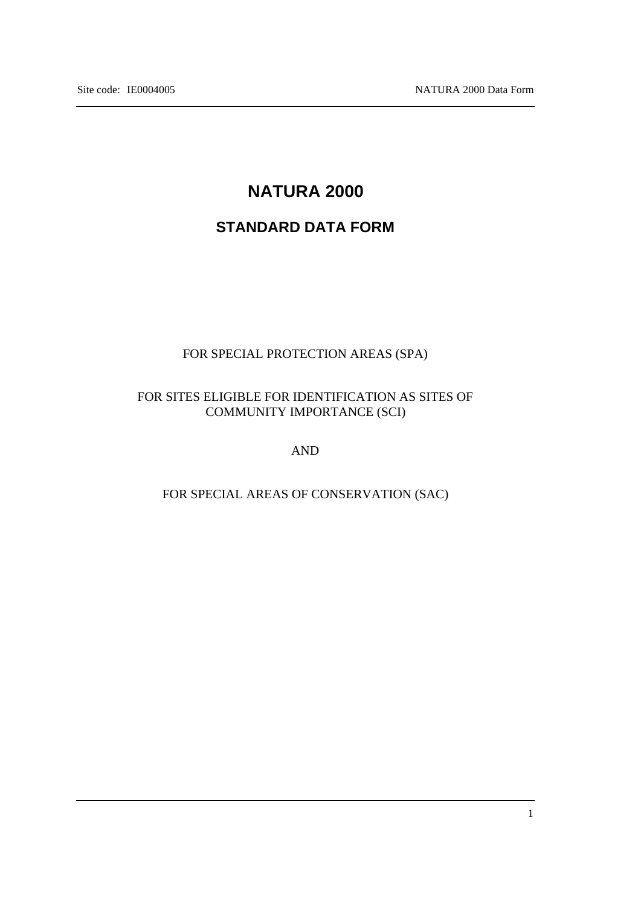# **NATURA 2000**

# **STANDARD DATA FORM**

## FOR SPECIAL PROTECTION AREAS (SPA)

## FOR SITES ELIGIBLE FOR IDENTIFICATION AS SITES OF COMMUNITY IMPORTANCE (SCI)

AND

## FOR SPECIAL AREAS OF CONSERVATION (SAC)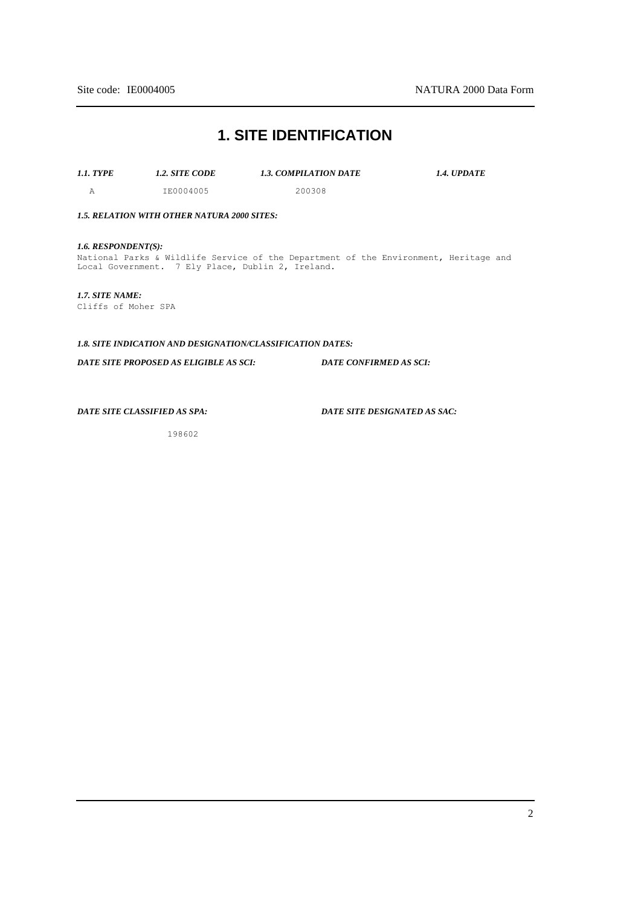## **1. SITE IDENTIFICATION**

*1.1. TYPE 1.2. SITE CODE 1.3. COMPILATION DATE 1.4. UPDATE*

A IE0004005 200308

*1.5. RELATION WITH OTHER NATURA 2000 SITES:*

*1.6. RESPONDENT(S):* National Parks & Wildlife Service of the Department of the Environment, Heritage and Local Government. 7 Ely Place, Dublin 2, Ireland.

*1.7. SITE NAME:* Cliffs of Moher SPA

*1.8. SITE INDICATION AND DESIGNATION/CLASSIFICATION DATES:*

*DATE SITE PROPOSED AS ELIGIBLE AS SCI: DATE CONFIRMED AS SCI:*

*DATE SITE CLASSIFIED AS SPA:*

*DATE SITE DESIGNATED AS SAC:*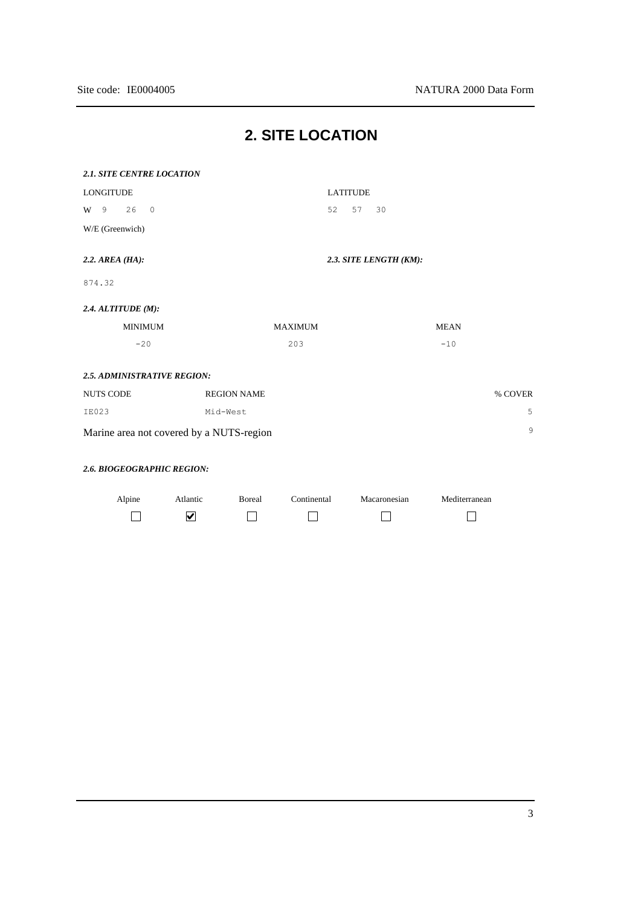| <b>2.1. SITE CENTRE LOCATION</b>              |                       |                        |               |  |  |
|-----------------------------------------------|-----------------------|------------------------|---------------|--|--|
| <b>LONGITUDE</b>                              |                       | <b>LATITUDE</b>        |               |  |  |
|                                               |                       |                        |               |  |  |
| 26<br>$\circ$<br>9<br>W                       |                       | 52<br>57<br>30         |               |  |  |
| W/E (Greenwich)                               |                       |                        |               |  |  |
| $2.2.$ AREA (HA):                             |                       | 2.3. SITE LENGTH (KM): |               |  |  |
| 874.32                                        |                       |                        |               |  |  |
| $2.4.$ ALTITUDE (M):                          |                       |                        |               |  |  |
| <b>MINIMUM</b>                                | <b>MAXIMUM</b>        |                        | <b>MEAN</b>   |  |  |
| $-20$                                         | 203                   |                        | $-10$         |  |  |
|                                               |                       |                        |               |  |  |
| 2.5. ADMINISTRATIVE REGION:                   |                       |                        |               |  |  |
| <b>NUTS CODE</b>                              | <b>REGION NAME</b>    |                        | % COVER       |  |  |
| <b>IE023</b>                                  | Mid-West              |                        | 5             |  |  |
| 9<br>Marine area not covered by a NUTS-region |                       |                        |               |  |  |
|                                               |                       |                        |               |  |  |
| 2.6. BIOGEOGRAPHIC REGION:                    |                       |                        |               |  |  |
| Alpine<br>Atlantic                            | Boreal<br>Continental | Macaronesian           | Mediterranean |  |  |
| $\blacktriangledown$                          |                       |                        |               |  |  |

# **2. SITE LOCATION**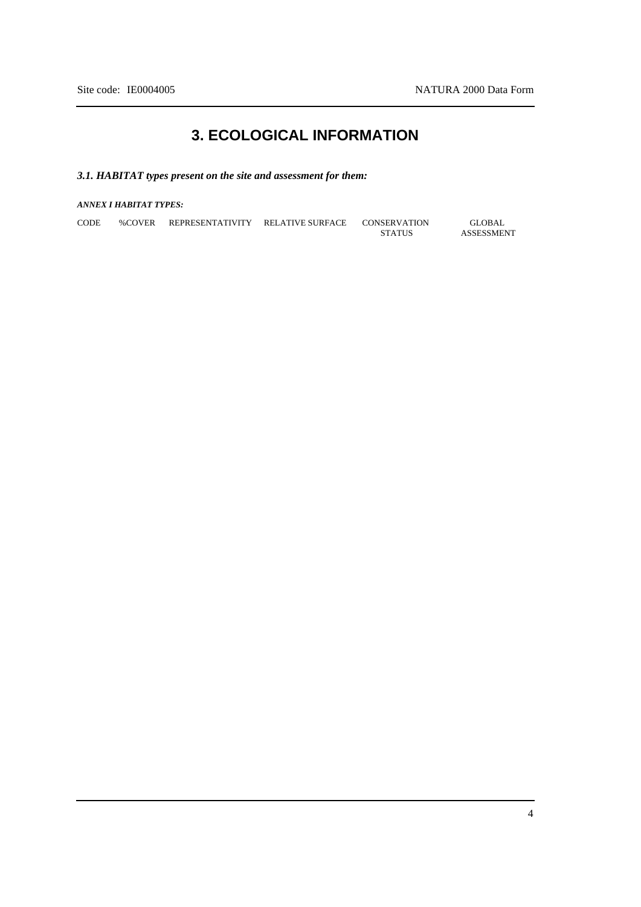# **3. ECOLOGICAL INFORMATION**

## *3.1. HABITAT types present on the site and assessment for them:*

### *ANNEX I HABITAT TYPES:*

| <b>CODE</b> | %COVER | <b>REPRESENTATIVITY</b> | RELATIVE SURFACE | CONSERVATION  | GLOBAL            |
|-------------|--------|-------------------------|------------------|---------------|-------------------|
|             |        |                         |                  | <b>STATUS</b> | <b>ASSESSMENT</b> |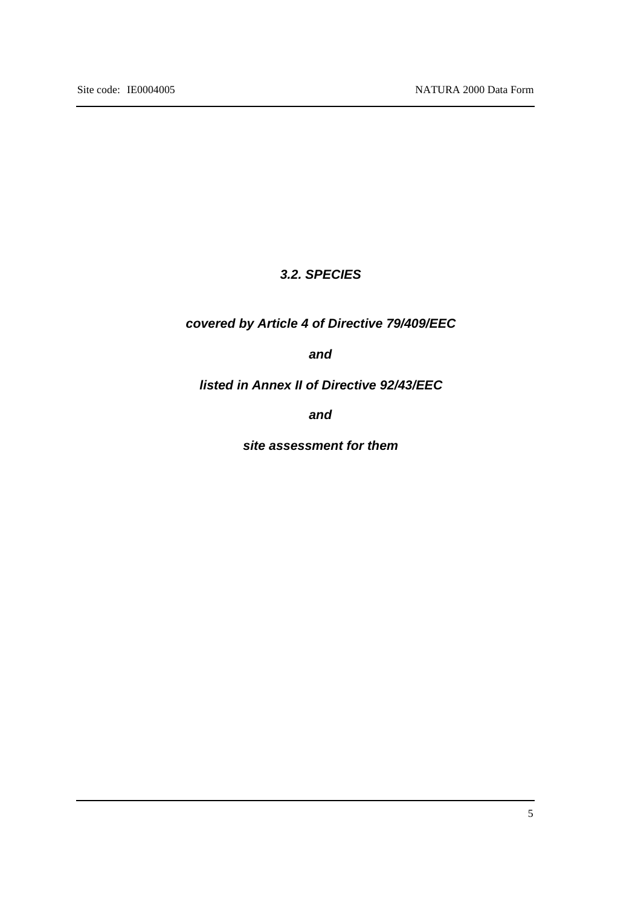## *3.2. SPECIES*

## *covered by Article 4 of Directive 79/409/EEC*

*and*

*listed in Annex II of Directive 92/43/EEC*

*and*

*site assessment for them*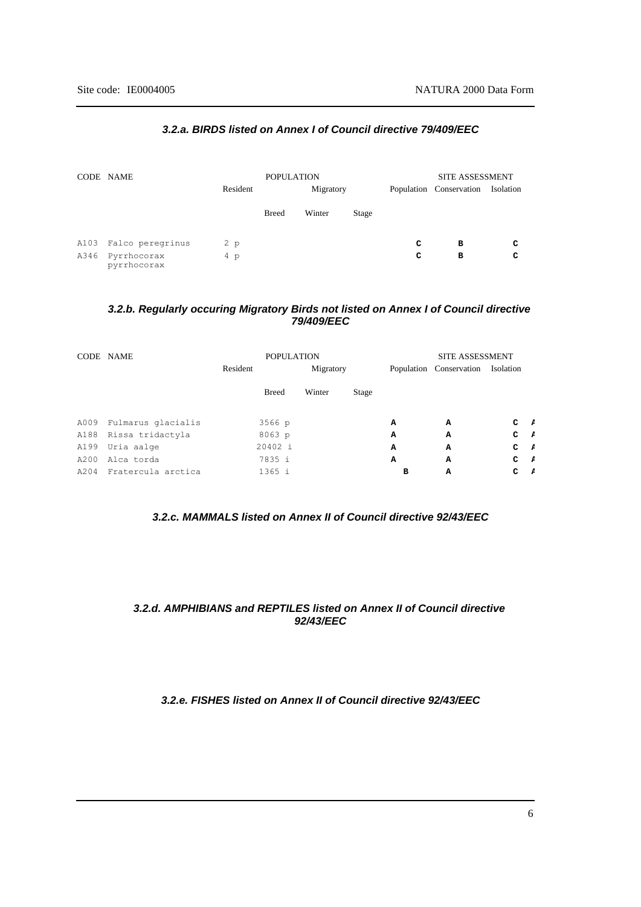|      | CODE NAME                  | Resident | <b>POPULATION</b><br>Migratory |        |       | <b>SITE ASSESSMENT</b><br>Population Conservation | Isolation |   |
|------|----------------------------|----------|--------------------------------|--------|-------|---------------------------------------------------|-----------|---|
|      |                            |          | <b>Breed</b>                   | Winter | Stage |                                                   |           |   |
| A103 | Falco peregrinus           | 2 p      |                                |        |       | c                                                 | в         | c |
| A346 | Pyrrhocorax<br>pyrrhocorax | $4\,p$   |                                |        |       | с                                                 | в         | c |

#### *3.2.a. BIRDS listed on Annex I of Council directive 79/409/EEC*

### *3.2.b. Regularly occuring Migratory Birds not listed on Annex I of Council directive 79/409/EEC*

|      | CODE NAME          | <b>POPULATION</b> |              |        |       | <b>SITE ASSESSMENT</b>            |   |    |                |
|------|--------------------|-------------------|--------------|--------|-------|-----------------------------------|---|----|----------------|
|      |                    | Resident          | Migratory    |        |       | Population Conservation Isolation |   |    |                |
|      |                    |                   | <b>Breed</b> | Winter | Stage |                                   |   |    |                |
| A009 | Fulmarus glacialis |                   | 3566 p       |        |       | A                                 | А | C. | <b>P</b>       |
| A188 | Rissa tridactyla   |                   | $8063$ p     |        |       | A                                 | A | c  | $\overline{f}$ |
| A199 | Uria aalge         |                   | 20402 i      |        |       | A                                 | A | C  | $\overline{ }$ |
| A200 | Alca torda         |                   | 7835 i       |        |       | A                                 | A | c  | $\overline{f}$ |
| A204 | Fratercula arctica |                   | 1365 i       |        |       | в                                 | A | C  | - 2            |

### *3.2.c. MAMMALS listed on Annex II of Council directive 92/43/EEC*

## *3.2.d. AMPHIBIANS and REPTILES listed on Annex II of Council directive 92/43/EEC*

#### *3.2.e. FISHES listed on Annex II of Council directive 92/43/EEC*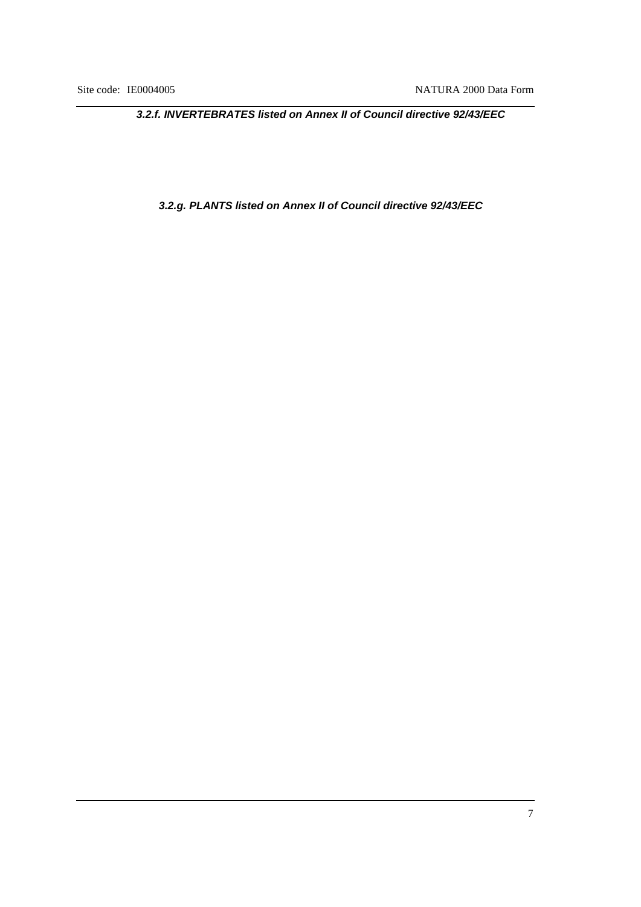*3.2.f. INVERTEBRATES listed on Annex II of Council directive 92/43/EEC*

*3.2.g. PLANTS listed on Annex II of Council directive 92/43/EEC*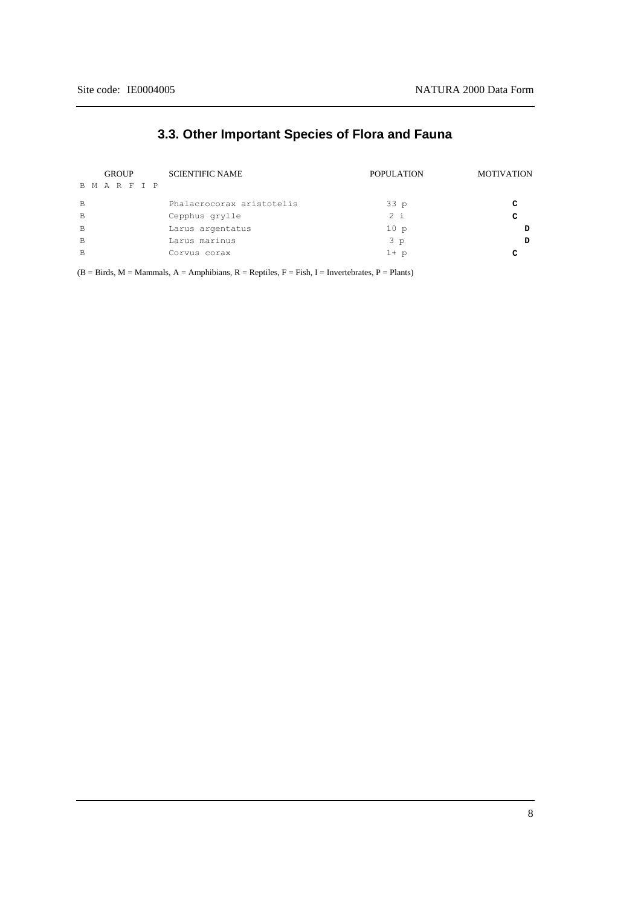## **3.3. Other Important Species of Flora and Fauna**

|          | <b>GROUP</b> |  | <b>SCIENTIFIC NAME</b> | <b>POPULATION</b>         | <b>MOTIVATION</b> |   |
|----------|--------------|--|------------------------|---------------------------|-------------------|---|
| BMARFIP  |              |  |                        |                           |                   |   |
| <b>B</b> |              |  |                        | Phalacrocorax aristotelis | 33 p              | C |
| B        |              |  |                        | Cepphus grylle            | $2 \frac{1}{2}$   | C |
| B.       |              |  |                        | Larus argentatus          | 10p               | D |
| <b>B</b> |              |  |                        | Larus marinus             | 3p                | D |
| B        |              |  |                        | Corvus corax              | $1+$ p            | C |

 $(B = Birds, M = Mammals, A = Amphibians, R = Reptiles, F = Fish, I = Invertebrates, P = Plants)$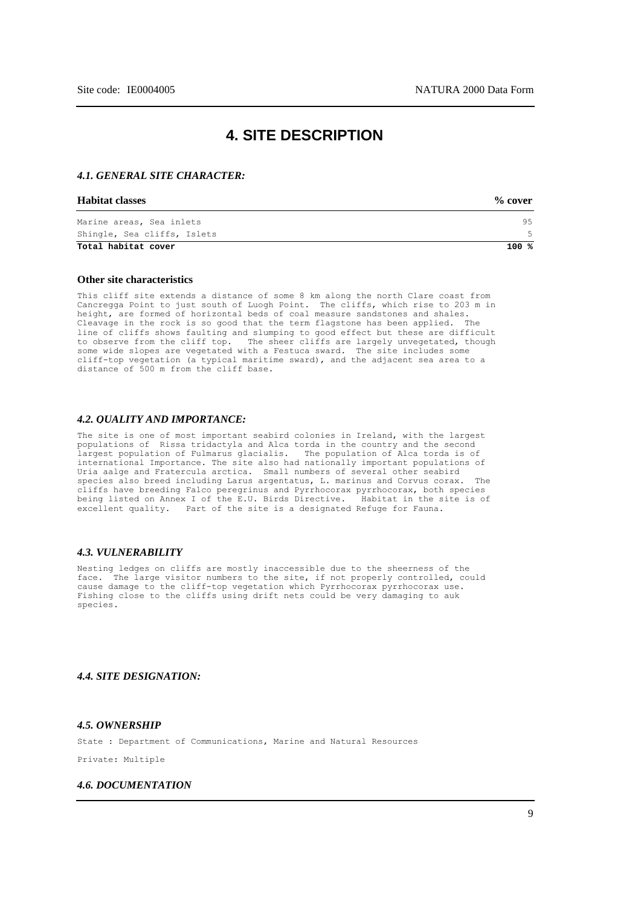## **4. SITE DESCRIPTION**

#### *4.1. GENERAL SITE CHARACTER:*

#### **Habitat classes % cover**

| --------------------        | $\sim$ $\sim$ $\sim$ $\sim$ $\sim$ $\sim$ |
|-----------------------------|-------------------------------------------|
| Marine areas, Sea inlets    | 95                                        |
| Shingle, Sea cliffs, Islets | 5                                         |
| Total habitat cover         | 100 %                                     |

#### **Other site characteristics**

This cliff site extends a distance of some 8 km along the north Clare coast from Cancregga Point to just south of Luogh Point. The cliffs, which rise to 203 m in height, are formed of horizontal beds of coal measure sandstones and shales. Cleavage in the rock is so good that the term flagstone has been applied. The line of cliffs shows faulting and slumping to good effect but these are difficult to observe from the cliff top. The sheer cliffs are largely unvegetated, though some wide slopes are vegetated with a Festuca sward. The site includes some cliff-top vegetation (a typical maritime sward), and the adjacent sea area to a distance of 500 m from the cliff base.

#### *4.2. QUALITY AND IMPORTANCE:*

The site is one of most important seabird colonies in Ireland, with the largest populations of Rissa tridactyla and Alca torda in the country and the second largest population of Fulmarus glacialis. international Importance. The site also had nationally important populations of Uria aalge and Fratercula arctica. Small numbers of several other seabird species also breed including Larus argentatus, L. marinus and Corvus corax. cliffs have breeding Falco peregrinus and Pyrrhocorax pyrrhocorax, both species being listed on Annex I of the E.U. Birds Directive. Habitat in the site is of excellent quality. Part of the site is a designated Refuge for Fauna.

#### *4.3. VULNERABILITY*

Nesting ledges on cliffs are mostly inaccessible due to the sheerness of the face. The large visitor numbers to the site, if not properly controlled, could cause damage to the cliff-top vegetation which Pyrrhocorax pyrrhocorax use. Fishing close to the cliffs using drift nets could be very damaging to auk species.

#### *4.4. SITE DESIGNATION:*

#### *4.5. OWNERSHIP*

State : Department of Communications, Marine and Natural Resources

Private: Multiple

#### *4.6. DOCUMENTATION*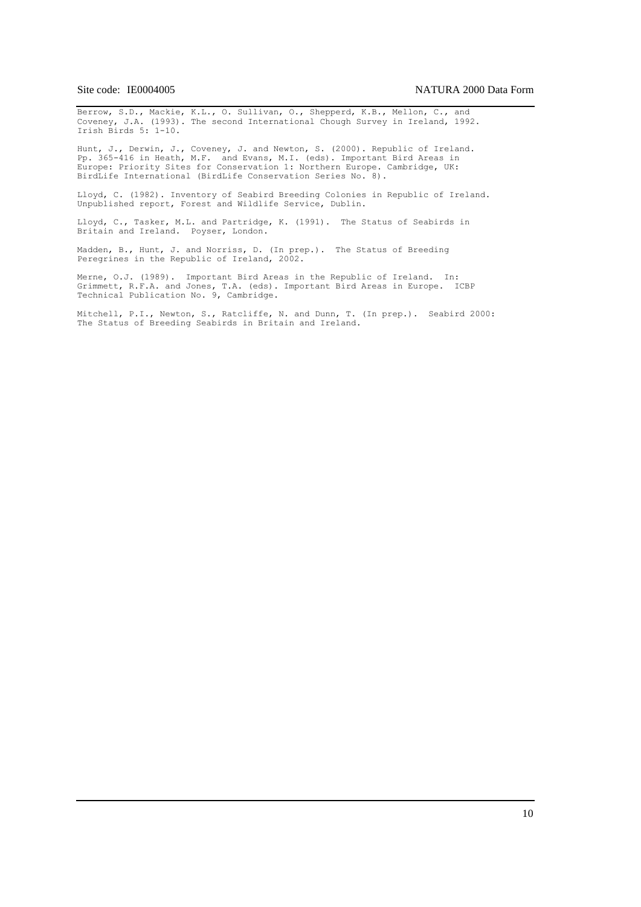Berrow, S.D., Mackie, K.L., O. Sullivan, O., Shepperd, K.B., Mellon, C., and Coveney, J.A. (1993). The second International Chough Survey in Ireland, 1992. Irish Birds 5: 1-10.

Hunt, J., Derwin, J., Coveney, J. and Newton, S. (2000). Republic of Ireland. Pp. 365-416 in Heath, M.F. and Evans, M.I. (eds). Important Bird Areas in Europe: Priority Sites for Conservation 1: Northern Europe. Cambridge, UK: BirdLife International (BirdLife Conservation Series No. 8).

Lloyd, C. (1982). Inventory of Seabird Breeding Colonies in Republic of Ireland. Unpublished report, Forest and Wildlife Service, Dublin.

Lloyd, C., Tasker, M.L. and Partridge, K. (1991). The Status of Seabirds in Britain and Ireland. Poyser, London.

Madden, B., Hunt, J. and Norriss, D. (In prep.). The Status of Breeding Peregrines in the Republic of Ireland, 2002.

Merne, O.J. (1989). Important Bird Areas in the Republic of Ireland. In: Grimmett, R.F.A. and Jones, T.A. (eds). Important Bird Areas in Europe. ICBP Technical Publication No. 9, Cambridge.

Mitchell, P.I., Newton, S., Ratcliffe, N. and Dunn, T. (In prep.). Seabird 2000: The Status of Breeding Seabirds in Britain and Ireland.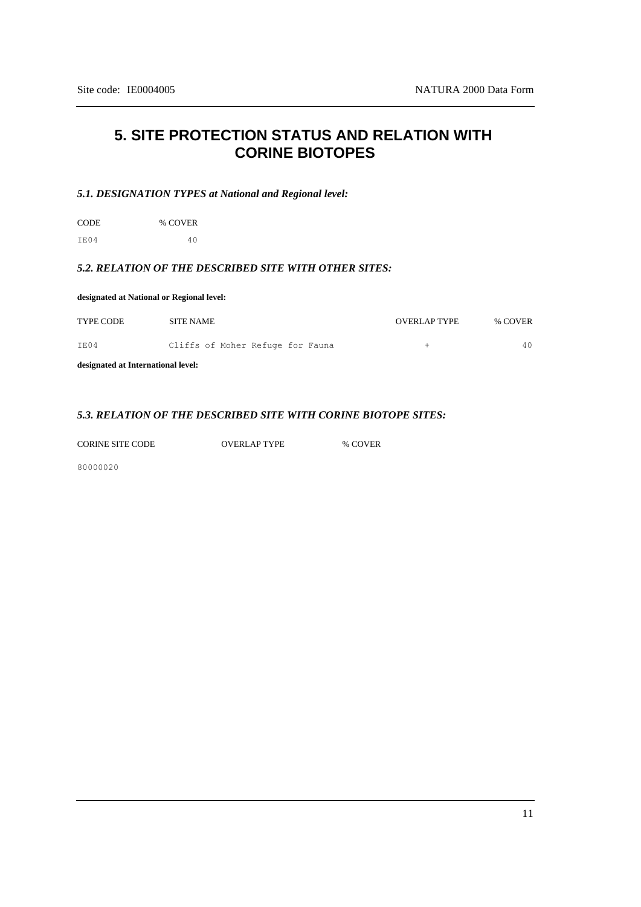## **5. SITE PROTECTION STATUS AND RELATION WITH CORINE BIOTOPES**

### *5.1. DESIGNATION TYPES at National and Regional level:*

CODE % COVER IE04 40

## *5.2. RELATION OF THE DESCRIBED SITE WITH OTHER SITES:*

| designated at National or Regional level: |                                  |                     |         |  |  |  |
|-------------------------------------------|----------------------------------|---------------------|---------|--|--|--|
| <b>TYPE CODE</b>                          | <b>SITE NAME</b>                 | <b>OVERLAP TYPE</b> | % COVER |  |  |  |
| TE04                                      | Cliffs of Moher Refuge for Fauna | $\pm$               | 40      |  |  |  |
| designated at International level:        |                                  |                     |         |  |  |  |

#### *5.3. RELATION OF THE DESCRIBED SITE WITH CORINE BIOTOPE SITES:*

CORINE SITE CODE OVERLAP TYPE % COVER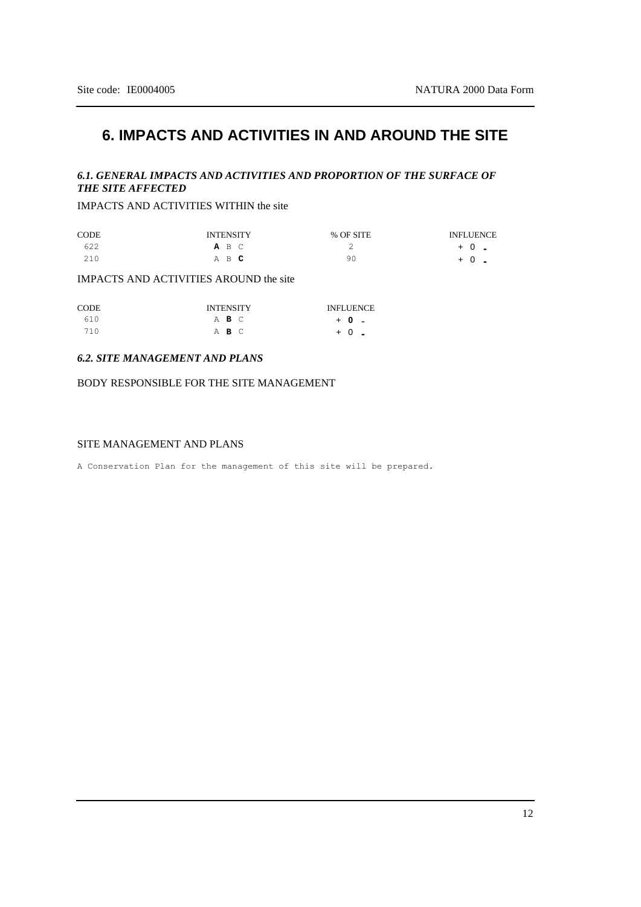## **6. IMPACTS AND ACTIVITIES IN AND AROUND THE SITE**

### *6.1. GENERAL IMPACTS AND ACTIVITIES AND PROPORTION OF THE SURFACE OF THE SITE AFFECTED*

IMPACTS AND ACTIVITIES WITHIN the site

| <b>CODE</b> | <b>INTENSITY</b> | % OF SITE | <b>INFLUENCE</b> |
|-------------|------------------|-----------|------------------|
| 622         | A B C            | ∼         | $+0$ .           |
| 210         | A B C            | 90        | $+0$ -           |

IMPACTS AND ACTIVITIES AROUND the site

| CODE | <b>INTENSITY</b> | <b>INFLUENCE</b> |
|------|------------------|------------------|
| 610  | A B C            | $+ 0 -$          |
| 710  | ABC              | $+0$ $-$         |

#### *6.2. SITE MANAGEMENT AND PLANS*

BODY RESPONSIBLE FOR THE SITE MANAGEMENT

#### SITE MANAGEMENT AND PLANS

A Conservation Plan for the management of this site will be prepared.